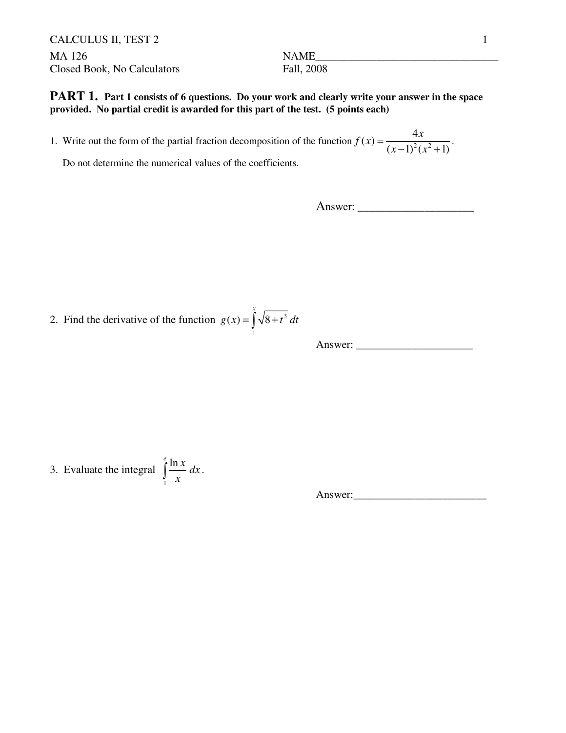CALCULUS II, TEST 2 1 MA 126 NAME\_\_\_\_\_\_\_\_\_\_\_\_\_\_\_\_\_\_\_\_\_\_\_\_\_\_\_\_\_\_\_\_\_ Closed Book, No Calculators Fall, 2008

**PART 1.** Part 1 consists of 6 questions. Do your work and clearly write your answer in the space **provided. No partial credit is awarded for this part of the test. (5 points each)**

1. Write out the form of the partial fraction decomposition of the function  $f(x) = \frac{dx}{(x-1)^2(x^2)}$  $f(x) = \frac{4}{(x-1)^2}$  $(x-1)^2(x^2+1)$  $f(x) = \frac{4x}{(x-1)^2(x+1)^2}$  $(x-1)^2(x)$ =  $(-1)^2(x^2 +$ 

Do not determine the numerical values of the coefficients.

Answer: \_\_\_\_\_\_\_\_\_\_\_\_\_\_\_\_\_\_\_\_\_

2. Find the derivative of the function  $g(x) = \int \sqrt{8+t^3}$ 1  $(x) = \sqrt{8}$  $g(x) = \int_0^x \sqrt{8+t^3} dt$ 

Answer:

3. Evaluate the integral 1  $\int_{0}^{e} \frac{\ln x}{x} dx$  $\int_{1}^{\frac{\ln x}{x}} dx$ .

Answer:\_\_\_\_\_\_\_\_\_\_\_\_\_\_\_\_\_\_\_\_\_\_\_\_

.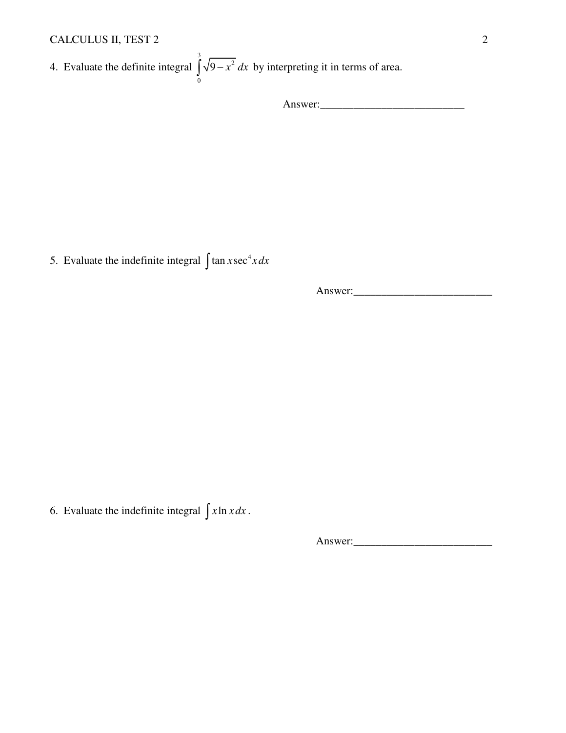### CALCULUS II, TEST 2 2

4. Evaluate the definite integral 3 2 0  $\int \sqrt{9-x^2} dx$  by interpreting it in terms of area.

Answer:\_\_\_\_\_\_\_\_\_\_\_\_\_\_\_\_\_\_\_\_\_\_\_\_\_\_

5. Evaluate the indefinite integral  $\int \tan x \sec^4 x dx$ 

Answer:

6. Evaluate the indefinite integral  $\int x \ln x dx$ .

Answer: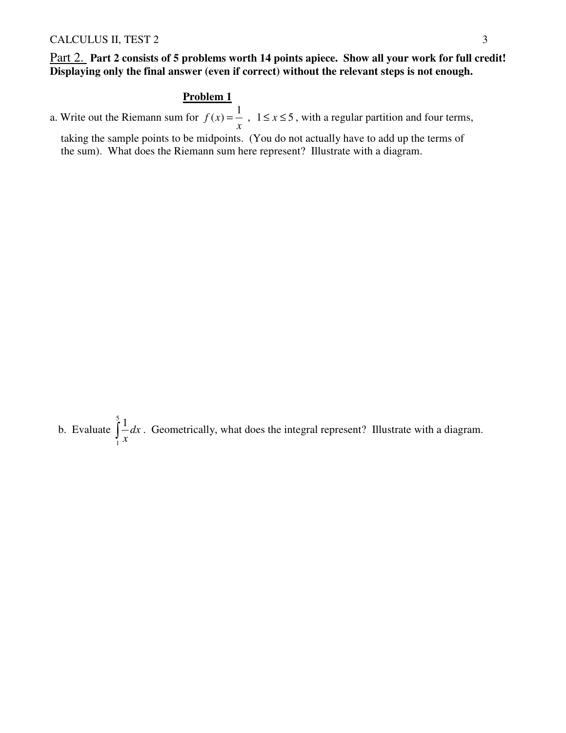#### Part 2. **Part 2 consists of 5 problems worth 14 points apiece. Show all your work for full credit! Displaying only the final answer (even if correct) without the relevant steps is not enough.**

#### **Problem 1**

a. Write out the Riemann sum for  $f(x) = \frac{1}{x}$ *x*  $=\frac{1}{x}$ ,  $1 \le x \le 5$ , with a regular partition and four terms,

 taking the sample points to be midpoints. (You do not actually have to add up the terms of the sum). What does the Riemann sum here represent? Illustrate with a diagram.

 b. Evaluate 5 1 1 *dx*  $\int_{1}^{1} \frac{1}{x} dx$ . Geometrically, what does the integral represent? Illustrate with a diagram.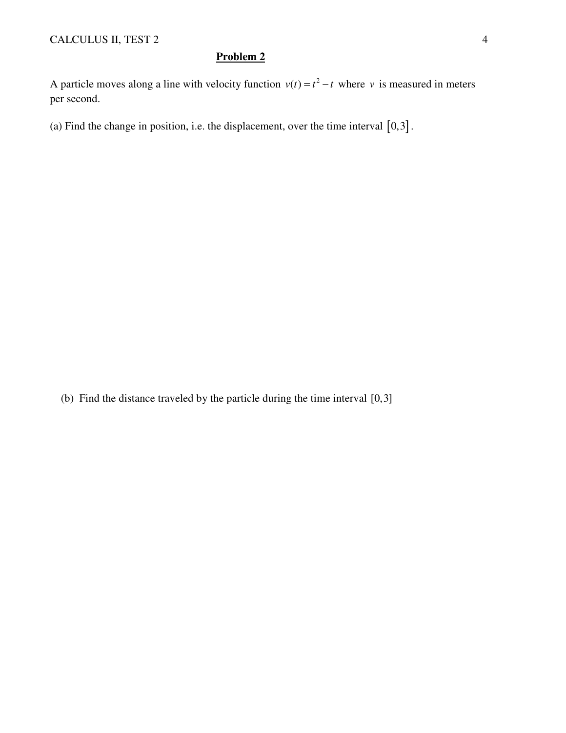#### **Problem 2**

A particle moves along a line with velocity function  $v(t) = t^2 - t$  where *v* is measured in meters per second.

(a) Find the change in position, i.e. the displacement, over the time interval  $[0,3]$ .

(b) Find the distance traveled by the particle during the time interval [0,3]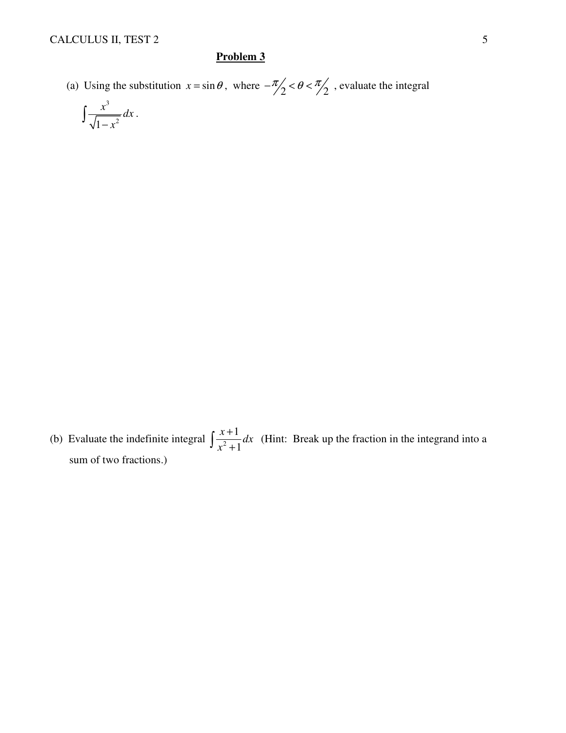#### **Problem 3**

(a) Using the substitution  $x = \sin \theta$ , where  $-\frac{\pi}{2} < \theta < \frac{\pi}{2}$ , evaluate the integral

$$
\int \frac{x^3}{\sqrt{1-x^2}} dx
$$

(b) Evaluate the indefinite integral  $\int \frac{x+1}{x^2+1}$ 1  $\frac{x+1}{2}dx$ *x* +  $\int \frac{x+1}{x^2+1} dx$  (Hint: Break up the fraction in the integrand into a sum of two fractions.)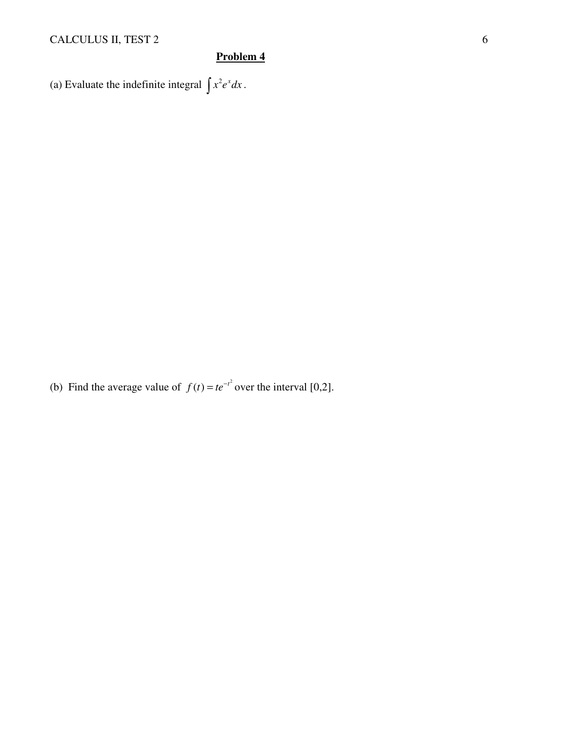## CALCULUS II, TEST 2 6

## **Problem 4**

(a) Evaluate the indefinite integral  $\int x^2 e^x dx$ .

(b) Find the average value of  $f(t) = te^{-t^2}$  over the interval [0,2].